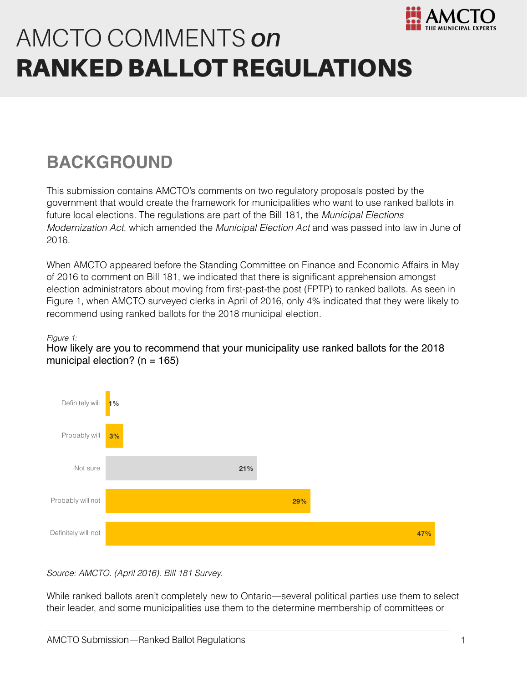

# AMCTO COMMENTS *on* RANKED BALLOT REGULATIONS

## **BACKGROUND**

This submission contains AMCTO's comments on two regulatory proposals posted by the government that would create the framework for municipalities who want to use ranked ballots in future local elections. The regulations are part of the Bill 181, the *Municipal Elections Modernization Act*, which amended the *Municipal Election Act* and was passed into law in June of 2016.

When AMCTO appeared before the Standing Committee on Finance and Economic Affairs in May of 2016 to comment on Bill 181, we indicated that there is significant apprehension amongst election administrators about moving from first-past-the post (FPTP) to ranked ballots. As seen in Figure 1, when AMCTO surveyed clerks in April of 2016, only 4% indicated that they were likely to recommend using ranked ballots for the 2018 municipal election.

#### *Figure 1:*

How likely are you to recommend that your municipality use ranked ballots for the 2018 municipal election? ( $n = 165$ )



#### *Source: AMCTO. (April 2016). Bill 181 Survey.*

While ranked ballots aren't completely new to Ontario—several political parties use them to select their leader, and some municipalities use them to the determine membership of committees or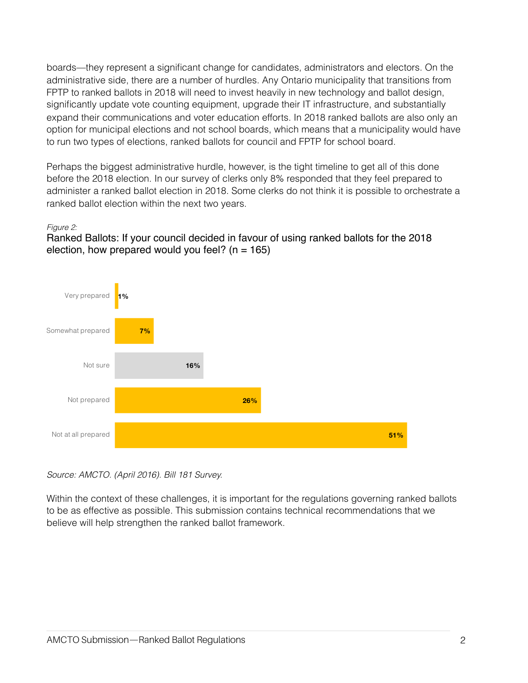boards—they represent a significant change for candidates, administrators and electors. On the administrative side, there are a number of hurdles. Any Ontario municipality that transitions from FPTP to ranked ballots in 2018 will need to invest heavily in new technology and ballot design, significantly update vote counting equipment, upgrade their IT infrastructure, and substantially expand their communications and voter education efforts. In 2018 ranked ballots are also only an option for municipal elections and not school boards, which means that a municipality would have to run two types of elections, ranked ballots for council and FPTP for school board.

Perhaps the biggest administrative hurdle, however, is the tight timeline to get all of this done before the 2018 election. In our survey of clerks only 8% responded that they feel prepared to administer a ranked ballot election in 2018. Some clerks do not think it is possible to orchestrate a ranked ballot election within the next two years.

#### *Figure 2:*

Ranked Ballots: If your council decided in favour of using ranked ballots for the 2018 election, how prepared would you feel? ( $n = 165$ )



*Source: AMCTO. (April 2016). Bill 181 Survey.* 

Within the context of these challenges, it is important for the regulations governing ranked ballots to be as effective as possible. This submission contains technical recommendations that we believe will help strengthen the ranked ballot framework.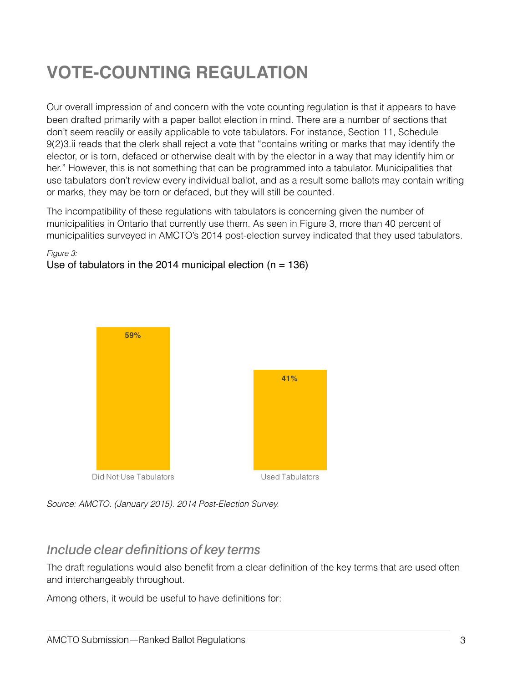## **VOTE-COUNTING REGULATION**

Our overall impression of and concern with the vote counting regulation is that it appears to have been drafted primarily with a paper ballot election in mind. There are a number of sections that don't seem readily or easily applicable to vote tabulators. For instance, Section 11, Schedule 9(2)3.ii reads that the clerk shall reject a vote that "contains writing or marks that may identify the elector, or is torn, defaced or otherwise dealt with by the elector in a way that may identify him or her." However, this is not something that can be programmed into a tabulator. Municipalities that use tabulators don't review every individual ballot, and as a result some ballots may contain writing or marks, they may be torn or defaced, but they will still be counted.

The incompatibility of these regulations with tabulators is concerning given the number of municipalities in Ontario that currently use them. As seen in Figure 3, more than 40 percent of municipalities surveyed in AMCTO's 2014 post-election survey indicated that they used tabulators.

#### *Figure 3:* Use of tabulators in the 2014 municipal election ( $n = 136$ )



*Source: AMCTO. (January 2015). 2014 Post-Election Survey.* 

#### *Include clear definitions of key terms*

The draft regulations would also benefit from a clear definition of the key terms that are used often and interchangeably throughout.

Among others, it would be useful to have definitions for: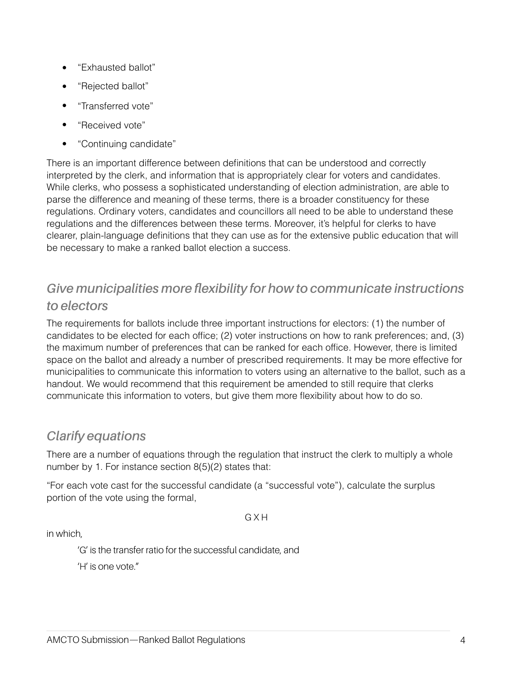- "Exhausted ballot"
- "Rejected ballot"
- "Transferred vote"
- "Received vote"
- "Continuing candidate"

There is an important difference between definitions that can be understood and correctly interpreted by the clerk, and information that is appropriately clear for voters and candidates. While clerks, who possess a sophisticated understanding of election administration, are able to parse the difference and meaning of these terms, there is a broader constituency for these regulations. Ordinary voters, candidates and councillors all need to be able to understand these regulations and the differences between these terms. Moreover, it's helpful for clerks to have clearer, plain-language definitions that they can use as for the extensive public education that will be necessary to make a ranked ballot election a success.

#### *Give municipalities more flexibility for how to communicate instructions to electors*

The requirements for ballots include three important instructions for electors: (1) the number of candidates to be elected for each office; (2) voter instructions on how to rank preferences; and, (3) the maximum number of preferences that can be ranked for each office. However, there is limited space on the ballot and already a number of prescribed requirements. It may be more effective for municipalities to communicate this information to voters using an alternative to the ballot, such as a handout. We would recommend that this requirement be amended to still require that clerks communicate this information to voters, but give them more flexibility about how to do so.

#### *Clarify equations*

There are a number of equations through the regulation that instruct the clerk to multiply a whole number by 1. For instance section 8(5)(2) states that:

"For each vote cast for the successful candidate (a "successful vote"), calculate the surplus portion of the vote using the formal,

G X H

in which,

 'G' is the transfer ratio for the successful candidate, and 'H' is one vote."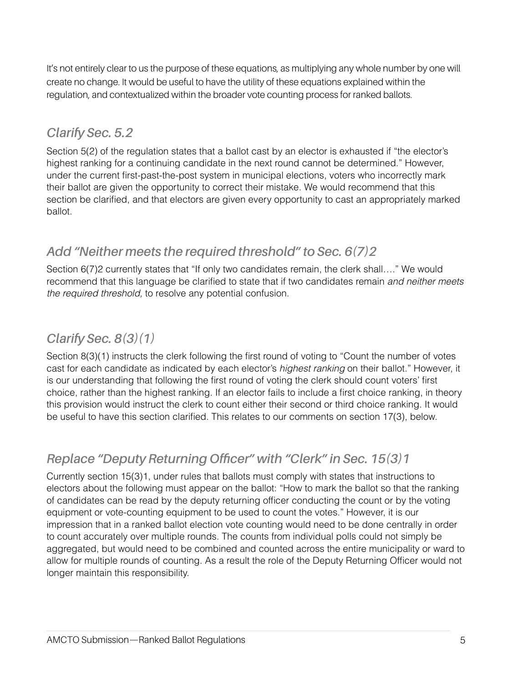It's not entirely clear to us the purpose of these equations, as multiplying any whole number by one will create no change. It would be useful to have the utility of these equations explained within the regulation, and contextualized within the broader vote counting process for ranked ballots.

## *Clarify Sec. 5.2*

Section 5(2) of the regulation states that a ballot cast by an elector is exhausted if "the elector's highest ranking for a continuing candidate in the next round cannot be determined." However, under the current first-past-the-post system in municipal elections, voters who incorrectly mark their ballot are given the opportunity to correct their mistake. We would recommend that this section be clarified, and that electors are given every opportunity to cast an appropriately marked ballot.

## *Add "Neither meets the required threshold" to Sec. 6(7)2*

Section 6(7)2 currently states that "If only two candidates remain, the clerk shall…." We would recommend that this language be clarified to state that if two candidates remain *and neither meets the required threshold,* to resolve any potential confusion.

### *Clarify Sec. 8(3)(1)*

Section 8(3)(1) instructs the clerk following the first round of voting to "Count the number of votes cast for each candidate as indicated by each elector's *highest ranking* on their ballot." However, it is our understanding that following the first round of voting the clerk should count voters' first choice, rather than the highest ranking. If an elector fails to include a first choice ranking, in theory this provision would instruct the clerk to count either their second or third choice ranking. It would be useful to have this section clarified. This relates to our comments on section 17(3), below.

## *Replace "Deputy Returning Officer" with "Clerk" in Sec. 15(3)1*

Currently section 15(3)1, under rules that ballots must comply with states that instructions to electors about the following must appear on the ballot: "How to mark the ballot so that the ranking of candidates can be read by the deputy returning officer conducting the count or by the voting equipment or vote-counting equipment to be used to count the votes." However, it is our impression that in a ranked ballot election vote counting would need to be done centrally in order to count accurately over multiple rounds. The counts from individual polls could not simply be aggregated, but would need to be combined and counted across the entire municipality or ward to allow for multiple rounds of counting. As a result the role of the Deputy Returning Officer would not longer maintain this responsibility.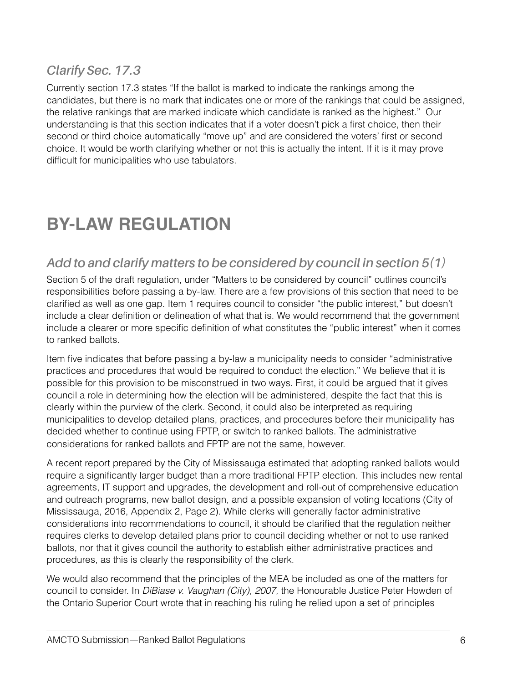### *Clarify Sec. 17.3*

Currently section 17.3 states "If the ballot is marked to indicate the rankings among the candidates, but there is no mark that indicates one or more of the rankings that could be assigned, the relative rankings that are marked indicate which candidate is ranked as the highest." Our understanding is that this section indicates that if a voter doesn't pick a first choice, then their second or third choice automatically "move up" and are considered the voters' first or second choice. It would be worth clarifying whether or not this is actually the intent. If it is it may prove difficult for municipalities who use tabulators.

## **BY-LAW REGULATION**

### *Add to and clarify matters to be considered by council in section 5(1)*

Section 5 of the draft regulation, under "Matters to be considered by council" outlines council's responsibilities before passing a by-law. There are a few provisions of this section that need to be clarified as well as one gap. Item 1 requires council to consider "the public interest," but doesn't include a clear definition or delineation of what that is. We would recommend that the government include a clearer or more specific definition of what constitutes the "public interest" when it comes to ranked ballots.

Item five indicates that before passing a by-law a municipality needs to consider "administrative practices and procedures that would be required to conduct the election." We believe that it is possible for this provision to be misconstrued in two ways. First, it could be argued that it gives council a role in determining how the election will be administered, despite the fact that this is clearly within the purview of the clerk. Second, it could also be interpreted as requiring municipalities to develop detailed plans, practices, and procedures before their municipality has decided whether to continue using FPTP, or switch to ranked ballots. The administrative considerations for ranked ballots and FPTP are not the same, however.

A recent report prepared by the City of Mississauga estimated that adopting ranked ballots would require a significantly larger budget than a more traditional FPTP election. This includes new rental agreements, IT support and upgrades, the development and roll-out of comprehensive education and outreach programs, new ballot design, and a possible expansion of voting locations (City of Mississauga, 2016, Appendix 2, Page 2). While clerks will generally factor administrative considerations into recommendations to council, it should be clarified that the regulation neither requires clerks to develop detailed plans prior to council deciding whether or not to use ranked ballots, nor that it gives council the authority to establish either administrative practices and procedures, as this is clearly the responsibility of the clerk.

We would also recommend that the principles of the MEA be included as one of the matters for council to consider. In *DiBiase v. Vaughan (City), 2007,* the Honourable Justice Peter Howden of the Ontario Superior Court wrote that in reaching his ruling he relied upon a set of principles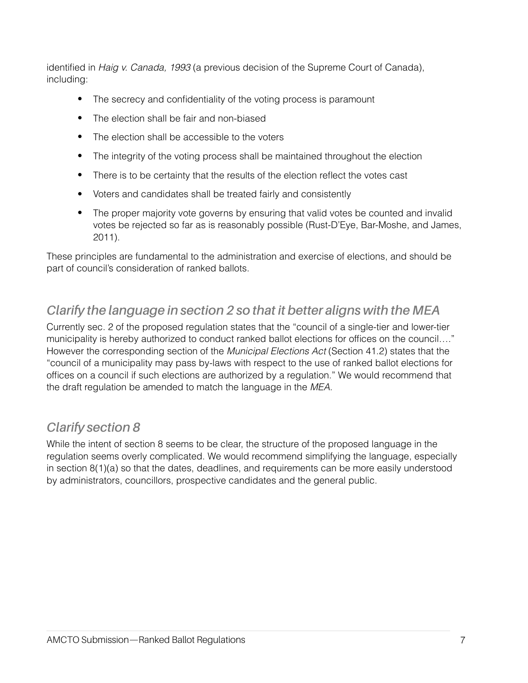identified in *Haig v. Canada, 1993* (a previous decision of the Supreme Court of Canada), including:

- The secrecy and confidentiality of the voting process is paramount
- The election shall be fair and non-biased
- The election shall be accessible to the voters
- The integrity of the voting process shall be maintained throughout the election
- There is to be certainty that the results of the election reflect the votes cast
- Voters and candidates shall be treated fairly and consistently
- The proper majority vote governs by ensuring that valid votes be counted and invalid votes be rejected so far as is reasonably possible (Rust-D'Eye, Bar-Moshe, and James, 2011).

These principles are fundamental to the administration and exercise of elections, and should be part of council's consideration of ranked ballots.

## *Clarify the language in section 2 so that it better aligns with the MEA*

Currently sec. 2 of the proposed regulation states that the "council of a single-tier and lower-tier municipality is hereby authorized to conduct ranked ballot elections for offices on the council…." However the corresponding section of the *Municipal Elections Act* (Section 41.2) states that the "council of a municipality may pass by-laws with respect to the use of ranked ballot elections for offices on a council if such elections are authorized by a regulation." We would recommend that the draft regulation be amended to match the language in the *MEA*.

## *Clarify section 8*

While the intent of section 8 seems to be clear, the structure of the proposed language in the regulation seems overly complicated. We would recommend simplifying the language, especially in section 8(1)(a) so that the dates, deadlines, and requirements can be more easily understood by administrators, councillors, prospective candidates and the general public.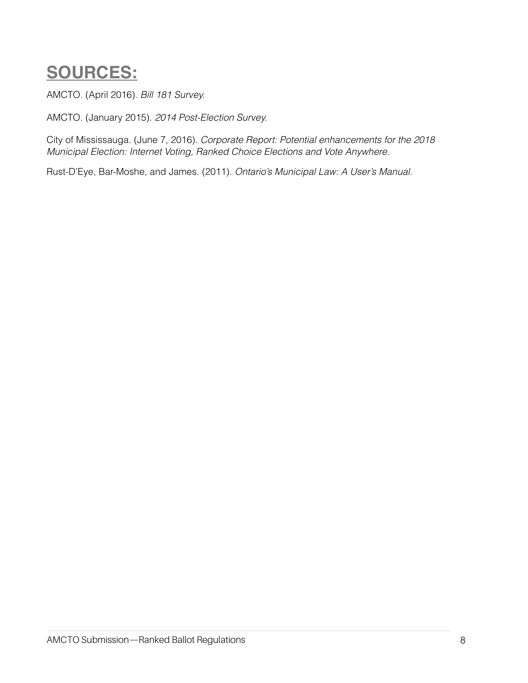## **SOURCES:**

AMCTO. (April 2016). *Bill 181 Survey.* 

AMCTO. (January 2015). *2014 Post-Election Survey.* 

City of Mississauga. (June 7, 2016). *Corporate Report: Potential enhancements for the 2018 Municipal Election: Internet Voting, Ranked Choice Elections and Vote Anywhere.* 

Rust-D'Eye, Bar-Moshe, and James. (2011). *Ontario's Municipal Law: A User's Manual.*